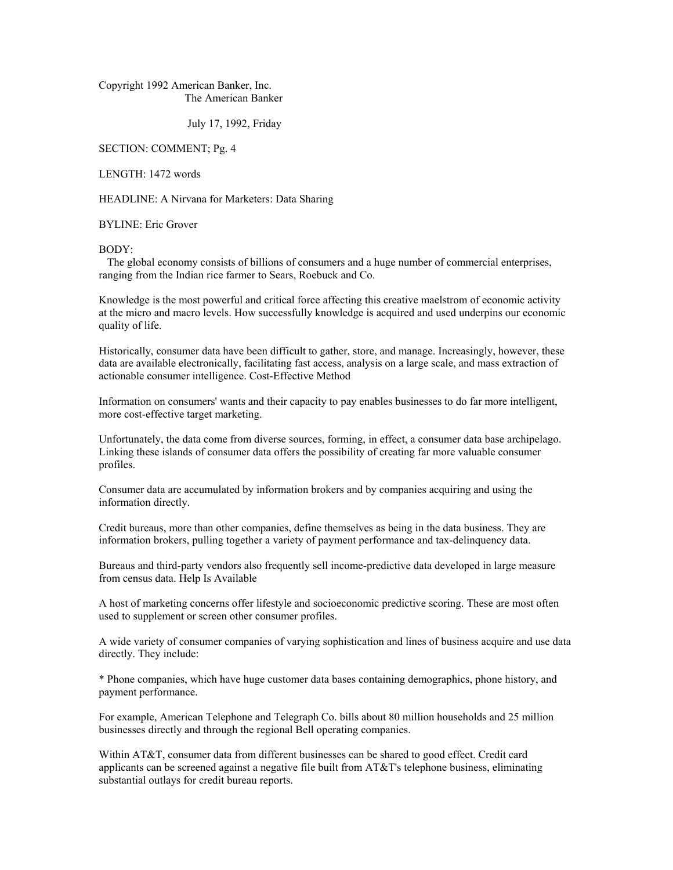Copyright 1992 American Banker, Inc. The American Banker

July 17, 1992, Friday

SECTION: COMMENT; Pg. 4

LENGTH: 1472 words

HEADLINE: A Nirvana for Marketers: Data Sharing

BYLINE: Eric Grover

BODY:

 The global economy consists of billions of consumers and a huge number of commercial enterprises, ranging from the Indian rice farmer to Sears, Roebuck and Co.

Knowledge is the most powerful and critical force affecting this creative maelstrom of economic activity at the micro and macro levels. How successfully knowledge is acquired and used underpins our economic quality of life.

Historically, consumer data have been difficult to gather, store, and manage. Increasingly, however, these data are available electronically, facilitating fast access, analysis on a large scale, and mass extraction of actionable consumer intelligence. Cost-Effective Method

Information on consumers' wants and their capacity to pay enables businesses to do far more intelligent, more cost-effective target marketing.

Unfortunately, the data come from diverse sources, forming, in effect, a consumer data base archipelago. Linking these islands of consumer data offers the possibility of creating far more valuable consumer profiles.

Consumer data are accumulated by information brokers and by companies acquiring and using the information directly.

Credit bureaus, more than other companies, define themselves as being in the data business. They are information brokers, pulling together a variety of payment performance and tax-delinquency data.

Bureaus and third-party vendors also frequently sell income-predictive data developed in large measure from census data. Help Is Available

A host of marketing concerns offer lifestyle and socioeconomic predictive scoring. These are most often used to supplement or screen other consumer profiles.

A wide variety of consumer companies of varying sophistication and lines of business acquire and use data directly. They include:

\* Phone companies, which have huge customer data bases containing demographics, phone history, and payment performance.

For example, American Telephone and Telegraph Co. bills about 80 million households and 25 million businesses directly and through the regional Bell operating companies.

Within AT&T, consumer data from different businesses can be shared to good effect. Credit card applicants can be screened against a negative file built from AT&T's telephone business, eliminating substantial outlays for credit bureau reports.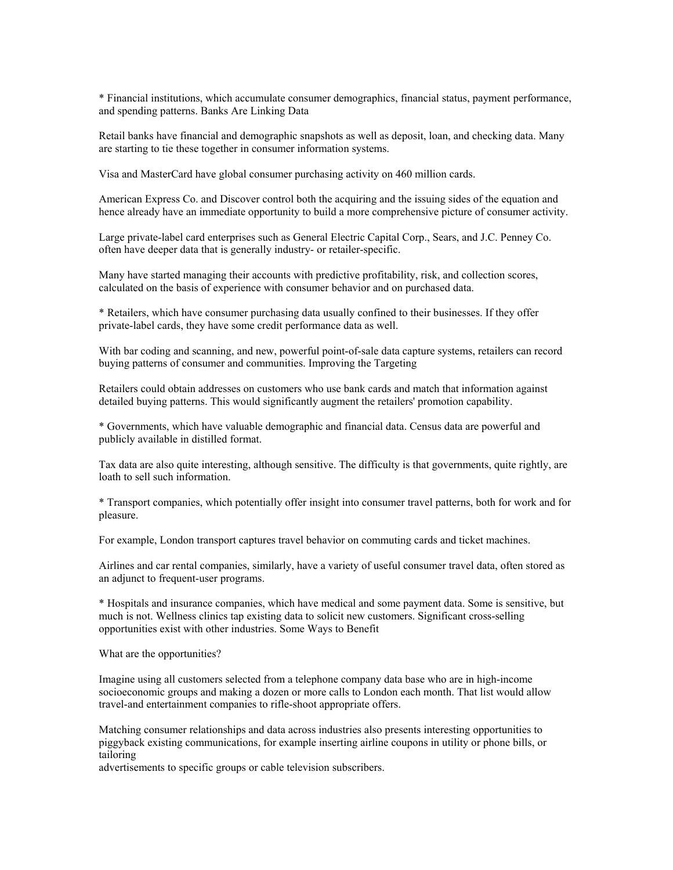\* Financial institutions, which accumulate consumer demographics, financial status, payment performance, and spending patterns. Banks Are Linking Data

Retail banks have financial and demographic snapshots as well as deposit, loan, and checking data. Many are starting to tie these together in consumer information systems.

Visa and MasterCard have global consumer purchasing activity on 460 million cards.

American Express Co. and Discover control both the acquiring and the issuing sides of the equation and hence already have an immediate opportunity to build a more comprehensive picture of consumer activity.

Large private-label card enterprises such as General Electric Capital Corp., Sears, and J.C. Penney Co. often have deeper data that is generally industry- or retailer-specific.

Many have started managing their accounts with predictive profitability, risk, and collection scores, calculated on the basis of experience with consumer behavior and on purchased data.

\* Retailers, which have consumer purchasing data usually confined to their businesses. If they offer private-label cards, they have some credit performance data as well.

With bar coding and scanning, and new, powerful point-of-sale data capture systems, retailers can record buying patterns of consumer and communities. Improving the Targeting

Retailers could obtain addresses on customers who use bank cards and match that information against detailed buying patterns. This would significantly augment the retailers' promotion capability.

\* Governments, which have valuable demographic and financial data. Census data are powerful and publicly available in distilled format.

Tax data are also quite interesting, although sensitive. The difficulty is that governments, quite rightly, are loath to sell such information.

\* Transport companies, which potentially offer insight into consumer travel patterns, both for work and for pleasure.

For example, London transport captures travel behavior on commuting cards and ticket machines.

Airlines and car rental companies, similarly, have a variety of useful consumer travel data, often stored as an adjunct to frequent-user programs.

\* Hospitals and insurance companies, which have medical and some payment data. Some is sensitive, but much is not. Wellness clinics tap existing data to solicit new customers. Significant cross-selling opportunities exist with other industries. Some Ways to Benefit

What are the opportunities?

Imagine using all customers selected from a telephone company data base who are in high-income socioeconomic groups and making a dozen or more calls to London each month. That list would allow travel-and entertainment companies to rifle-shoot appropriate offers.

Matching consumer relationships and data across industries also presents interesting opportunities to piggyback existing communications, for example inserting airline coupons in utility or phone bills, or tailoring

advertisements to specific groups or cable television subscribers.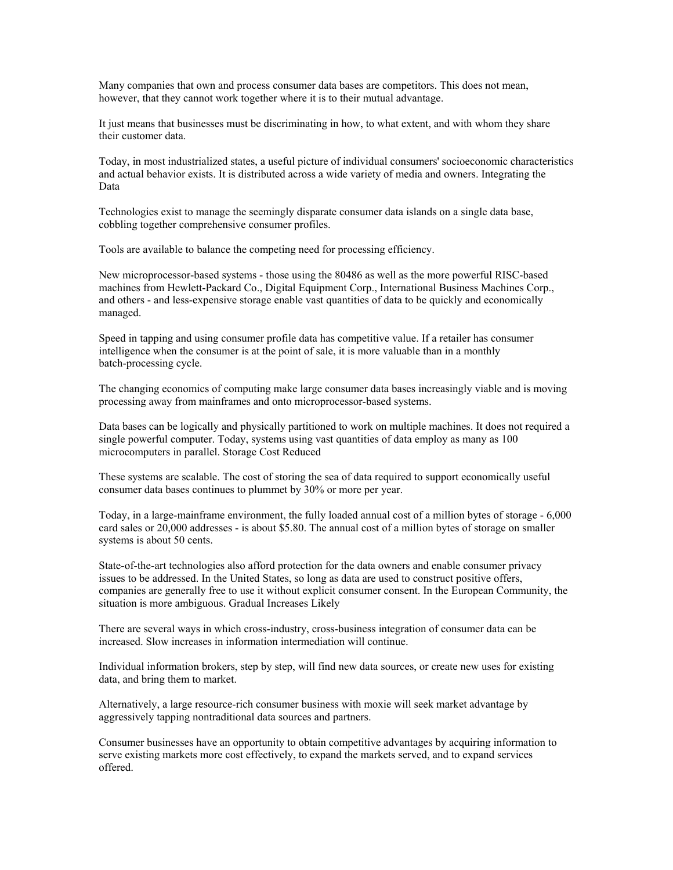Many companies that own and process consumer data bases are competitors. This does not mean, however, that they cannot work together where it is to their mutual advantage.

It just means that businesses must be discriminating in how, to what extent, and with whom they share their customer data.

Today, in most industrialized states, a useful picture of individual consumers' socioeconomic characteristics and actual behavior exists. It is distributed across a wide variety of media and owners. Integrating the Data

Technologies exist to manage the seemingly disparate consumer data islands on a single data base, cobbling together comprehensive consumer profiles.

Tools are available to balance the competing need for processing efficiency.

New microprocessor-based systems - those using the 80486 as well as the more powerful RISC-based machines from Hewlett-Packard Co., Digital Equipment Corp., International Business Machines Corp., and others - and less-expensive storage enable vast quantities of data to be quickly and economically managed.

Speed in tapping and using consumer profile data has competitive value. If a retailer has consumer intelligence when the consumer is at the point of sale, it is more valuable than in a monthly batch-processing cycle.

The changing economics of computing make large consumer data bases increasingly viable and is moving processing away from mainframes and onto microprocessor-based systems.

Data bases can be logically and physically partitioned to work on multiple machines. It does not required a single powerful computer. Today, systems using vast quantities of data employ as many as 100 microcomputers in parallel. Storage Cost Reduced

These systems are scalable. The cost of storing the sea of data required to support economically useful consumer data bases continues to plummet by 30% or more per year.

Today, in a large-mainframe environment, the fully loaded annual cost of a million bytes of storage - 6,000 card sales or 20,000 addresses - is about \$5.80. The annual cost of a million bytes of storage on smaller systems is about 50 cents.

State-of-the-art technologies also afford protection for the data owners and enable consumer privacy issues to be addressed. In the United States, so long as data are used to construct positive offers, companies are generally free to use it without explicit consumer consent. In the European Community, the situation is more ambiguous. Gradual Increases Likely

There are several ways in which cross-industry, cross-business integration of consumer data can be increased. Slow increases in information intermediation will continue.

Individual information brokers, step by step, will find new data sources, or create new uses for existing data, and bring them to market.

Alternatively, a large resource-rich consumer business with moxie will seek market advantage by aggressively tapping nontraditional data sources and partners.

Consumer businesses have an opportunity to obtain competitive advantages by acquiring information to serve existing markets more cost effectively, to expand the markets served, and to expand services offered.